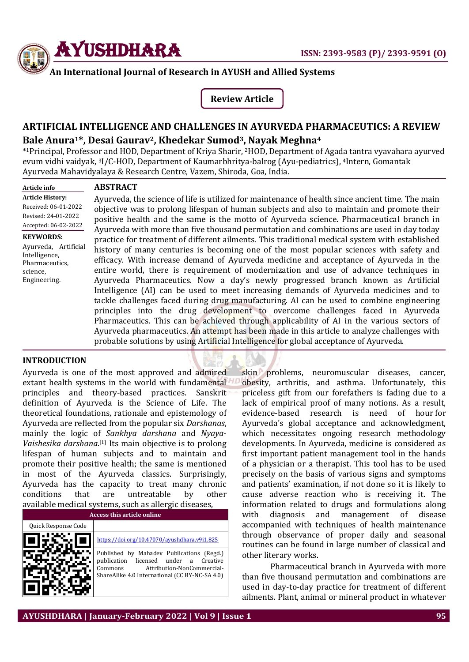

### **An International Journal of Research in AYUSH and Allied Systems**

**Review Article**

# **ARTIFICIAL INTELLIGENCE AND CHALLENGES IN AYURVEDA PHARMACEUTICS: A REVIEW Bale Anura1\*, Desai Gaurav2, Khedekar Sumod3, Nayak Meghna<sup>4</sup>**

\* <sup>1</sup>Principal, Professor and HOD, Department of Kriya Sharir, <sup>2</sup>HOD, Department of Agada tantra vyavahara ayurved evum vidhi vaidyak, <sup>3</sup>I/C-HOD, Department of Kaumarbhritya-balrog (Ayu-pediatrics), <sup>4</sup>Intern, Gomantak Ayurveda Mahavidyalaya & Research Centre, Vazem, Shiroda, Goa, India.

**Article info**

### **ABSTRACT**

**Article History:** Received: 06-01-2022 Revised: 24-01-2022 Accepted: 06-02-2022

**KEYWORDS:**  Ayurveda, Artificial Intelligence, Pharmaceutics, science, Engineering.

Ayurveda, the science of life is utilized for maintenance of health since ancient time. The main objective was to prolong lifespan of human subjects and also to maintain and promote their positive health and the same is the motto of Ayurveda science. Pharmaceutical branch in Ayurveda with more than five thousand permutation and combinations are used in day today practice for treatment of different ailments. This traditional medical system with established history of many centuries is becoming one of the most popular sciences with safety and efficacy. With increase demand of Ayurveda medicine and acceptance of Ayurveda in the entire world, there is requirement of modernization and use of advance techniques in Ayurveda Pharmaceutics. Now a day's newly progressed branch known as Artificial Intelligence (AI) can be used to meet increasing demands of Ayurveda medicines and to tackle challenges faced during drug manufacturing. AI can be used to combine engineering principles into the drug development to overcome challenges faced in Ayurveda Pharmaceutics. This can be achieved through applicability of AI in the various sectors of Ayurveda pharmaceutics. An attempt has been made in this article to analyze challenges with probable solutions by using Artificial Intelligence for global acceptance of Ayurveda.

#### **INTRODUCTION**

Ayurveda is one of the most approved and admired extant health systems in the world with fundamental principles and theory-based practices. Sanskrit definition of Ayurveda is the Science of Life. The theoretical foundations, rationale and epistemology of Ayurveda are reflected from the popular six *Darshanas*, mainly the logic of *Sankhya darshana* and *Nyaya*-*Vaishesika darshana*. [1] Its main objective is to prolong lifespan of human subjects and to maintain and promote their positive health; the same is mentioned in most of the Ayurveda classics. Surprisingly, Ayurveda has the capacity to treat many chronic conditions that are untreatable by other available medical systems, such as allergic diseases,

| <b>Access this article online</b> |                                                                                                                                                                                  |
|-----------------------------------|----------------------------------------------------------------------------------------------------------------------------------------------------------------------------------|
| Quick Response Code               |                                                                                                                                                                                  |
|                                   | https://doi.org/10.47070/avushdhara.v9i1.825                                                                                                                                     |
|                                   | Published by Mahadev Publications (Regd.)<br>licensed under a Creative<br>publication<br>Attribution-NonCommercial-<br>Commons<br>ShareAlike 4.0 International (CC BY-NC-SA 4.0) |

skin problems, neuromuscular diseases, cancer, obesity, arthritis, and asthma. Unfortunately, this priceless gift from our forefathers is fading due to a lack of empirical proof of many notions. As a result, evidence-based research is need of hour for Ayurveda's global acceptance and acknowledgment, which necessitates ongoing research methodology developments. In Ayurveda, medicine is considered as first important patient management tool in the hands of a physician or a therapist. This tool has to be used precisely on the basis of various signs and symptoms and patients' examination, if not done so it is likely to cause adverse reaction who is receiving it. The information related to drugs and formulations along with diagnosis and management of disease accompanied with techniques of health maintenance through observance of proper daily and seasonal routines can be found in large number of classical and other literary works.

Pharmaceutical branch in Ayurveda with more than five thousand permutation and combinations are used in day-to-day practice for treatment of different ailments. Plant, animal or mineral product in whatever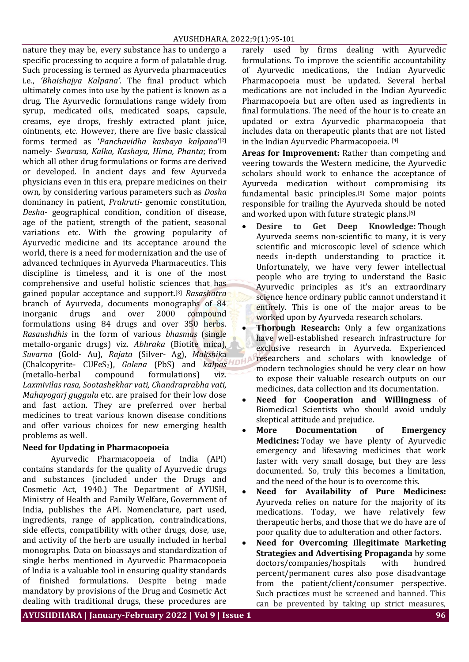nature they may be, every substance has to undergo a specific processing to acquire a form of palatable drug. Such processing is termed as Ayurveda pharmaceutics i.e., *'Bhaishajya Kalpana'*. The final product which ultimately comes into use by the patient is known as a drug. The Ayurvedic formulations range widely from syrup, medicated oils, medicated soaps, capsule, creams, eye drops, freshly extracted plant juice, ointments, etc. However, there are five basic classical forms termed as '*Panchavidha kashaya kalpana*' [2] namely- *Swarasa, Kalka, Kashaya, Hima, Phanta*; from which all other drug formulations or forms are derived or developed. In ancient days and few Ayurveda physicians even in this era, prepare medicines on their own, by considering various parameters such as *Dosha* dominancy in patient, *Prakruti-* genomic constitution*, Desha*- geographical condition, condition of disease, age of the patient, strength of the patient, seasonal variations etc. With the growing popularity of Ayurvedic medicine and its acceptance around the world, there is a need for modernization and the use of advanced techniques in Ayurveda Pharmaceutics. This discipline is timeless, and it is one of the most comprehensive and useful holistic sciences that has gained popular acceptance and support.[3] *Rasashatra*  branch of Ayurveda, documents monographs of 84 inorganic drugs and over 2000 compound formulations using 84 drugs and over 350 herbs. *Rasaushdhis* in the form of various *bhasmas* (single metallo-organic drugs) viz. *Abhraka* (Biotite mica), *Suvarna* (Gold- Au), *Rajata* (Silver- Ag), *Makshik*a (Chalcopyrite- CUFeS2), *Galena* (PbS) and *kalpas* (metallo-herbal compound formulations) viz. *Laxmivilas rasa, Sootashekhar vati, Chandraprabha vati, Mahayogarj guggulu* etc. are praised for their low dose and fast action. They are preferred over herbal medicines to treat various known disease conditions and offer various choices for new emerging health problems as well.

# **Need for Updating in Pharmacopoeia**

Ayurvedic Pharmacopoeia of India (API) contains standards for the quality of Ayurvedic drugs and substances (included under the Drugs and Cosmetic Act, 1940.) The Department of AYUSH, Ministry of Health and Family Welfare, Government of India, publishes the API. Nomenclature, part used, ingredients, range of application, contraindications, side effects, compatibility with other drugs, dose, use, and activity of the herb are usually included in herbal monographs. Data on bioassays and standardization of single herbs mentioned in Ayurvedic Pharmacopoeia of India is a valuable tool in ensuring quality standards of finished formulations. Despite being made mandatory by provisions of the Drug and Cosmetic Act dealing with traditional drugs, these procedures are

rarely used by firms dealing with Ayurvedic formulations. To improve the scientific accountability of Ayurvedic medications, the Indian Ayurvedic Pharmacopoeia must be updated. Several herbal medications are not included in the Indian Ayurvedic Pharmacopoeia but are often used as ingredients in final formulations. The need of the hour is to create an updated or extra Ayurvedic pharmacopoeia that includes data on therapeutic plants that are not listed in the Indian Ayurvedic Pharmacopoeia. [4]

**Areas for Improvement:** Rather than competing and veering towards the Western medicine, the Ayurvedic scholars should work to enhance the acceptance of Ayurveda medication without compromising its fundamental basic principles.[5] Some major points responsible for trailing the Ayurveda should be noted and worked upon with future strategic plans.[6]

- **Desire to Get Deep Knowledge:** Though Ayurveda seems non-scientific to many, it is very scientific and microscopic level of science which needs in-depth understanding to practice it. Unfortunately, we have very fewer intellectual people who are trying to understand the Basic Ayurvedic principles as it's an extraordinary science hence ordinary public cannot understand it entirely. This is one of the major areas to be worked upon by Ayurveda research scholars.
- **Thorough Research:** Only a few organizations have well-established research infrastructure for exclusive research in Ayurveda. Experienced researchers and scholars with knowledge of modern technologies should be very clear on how to expose their valuable research outputs on our medicines, data collection and its documentation.
- **Need for Cooperation and Willingness** of Biomedical Scientists who should avoid unduly skeptical attitude and prejudice.
- **More Documentation of Emergency Medicines:** Today we have plenty of Ayurvedic emergency and lifesaving medicines that work faster with very small dosage, but they are less documented. So, truly this becomes a limitation, and the need of the hour is to overcome this.
- **Need for Availability of Pure Medicines:**  Ayurveda relies on nature for the majority of its medications. Today, we have relatively few therapeutic herbs, and those that we do have are of poor quality due to adulteration and other factors.
- **Need for Overcoming Illegitimate Marketing Strategies and Advertising Propaganda** by some doctors/companies/hospitals with hundred percent/permanent cures also pose disadvantage from the patient/client/consumer perspective. Such practices must be screened and banned. This can be prevented by taking up strict measures,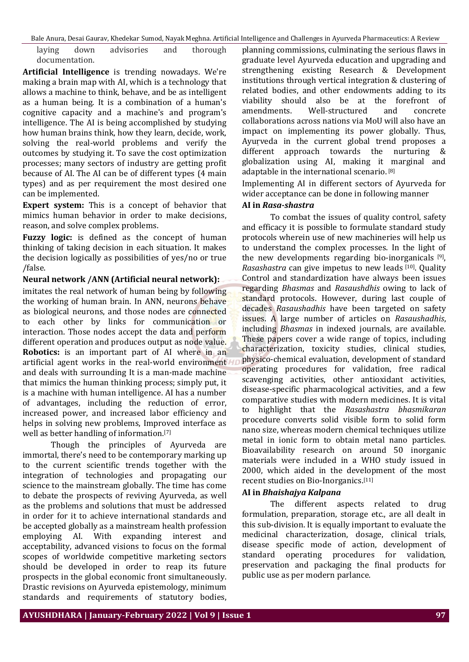Bale Anura, Desai Gaurav, Khedekar Sumod, Nayak Meghna. Artificial Intelligence and Challenges in Ayurveda Pharmaceutics: A Review

laying down advisories and thorough documentation.

**Artificial Intelligence** is trending nowadays. We're making a brain map with AI, which is a technology that allows a machine to think, behave, and be as intelligent as a human being. It is a combination of a human's cognitive capacity and a machine's and program's intelligence. The AI is being accomplished by studying how human brains think, how they learn, decide, work, solving the real-world problems and verify the outcomes by studying it. To save the cost optimization processes; many sectors of industry are getting profit because of AI. The AI can be of different types (4 main types) and as per requirement the most desired one can be implemented.

**Expert system:** This is a concept of behavior that mimics human behavior in order to make decisions, reason, and solve complex problems.

**Fuzzy logic:** is defined as the concept of human thinking of taking decision in each situation. It makes the decision logically as possibilities of yes/no or true /false.

**Neural network /ANN (Artificial neural network):** 

imitates the real network of human being by following the working of human brain. In ANN, neurons behave as biological neurons, and those nodes are connected to each other by links for communication or interaction. Those nodes accept the data and perform different operation and produces output as node value. **Robotics:** is an important part of AI where in an artificial agent works in the real-world environment and deals with surrounding It is a man-made machine that mimics the human thinking process; simply put, it is a machine with human intelligence. AI has a number of advantages, including the reduction of error, increased power, and increased labor efficiency and helps in solving new problems, Improved interface as well as better handling of information.[7]

Though the principles of Ayurveda are immortal, there's need to be contemporary marking up to the current scientific trends together with the integration of technologies and propagating our science to the mainstream globally. The time has come to debate the prospects of reviving Ayurveda, as well as the problems and solutions that must be addressed in order for it to achieve international standards and be accepted globally as a mainstream health profession employing AI. With expanding interest and acceptability, advanced visions to focus on the formal scopes of worldwide competitive marketing sectors should be developed in order to reap its future prospects in the global economic front simultaneously. Drastic revisions on Ayurveda epistemology, minimum standards and requirements of statutory bodies,

planning commissions, culminating the serious flaws in graduate level Ayurveda education and upgrading and strengthening existing Research & Development institutions through vertical integration & clustering of related bodies, and other endowments adding to its viability should also be at the forefront of amendments. Well-structured and concrete collaborations across nations via MoU will also have an impact on implementing its power globally. Thus, Ayuṛveda in the current global trend proposes a different approach towards the nurturing & globalization using AI, making it marginal and adaptable in the international scenario. [8]

Implementing AI in different sectors of Ayurveda for wider acceptance can be done in following manner

#### **AI in** *Rasa-shastra*

To combat the issues of quality control, safety and efficacy it is possible to formulate standard study protocols wherein use of new machineries will help us to understand the complex processes. In the light of the new developments regarding bio-inorganicals [9] , *Rasashastra* can give impetus to new leads [10]. Quality Control and standardization have always been issues regarding *Bhasmas* and *Rasaushdhis* owing to lack of standard protocols. However, during last couple of decades *Rasaushadhis* have been targeted on safety issues. A large number of articles on *Rasaushadhis*, including *Bhasmas* in indexed journals, are available. These papers cover a wide range of topics, including characterization, toxicity studies, clinical studies, physico-chemical evaluation, development of standard operating procedures for validation, free radical scavenging activities, other antioxidant activities, disease-specific pharmacological activities, and a few comparative studies with modern medicines. It is vital to highlight that the *Rasashastra bhasmikaran* procedure converts solid visible form to solid form nano size, whereas modern chemical techniques utilize metal in ionic form to obtain metal nano particles. Bioavailability research on around 50 inorganic materials were included in a WHO study issued in 2000, which aided in the development of the most recent studies on Bio-Inorganics.[11]

# **AI in** *Bhaishajya Kalpana*

The different aspects related to drug formulation, preparation, storage etc., are all dealt in this sub-division. It is equally important to evaluate the medicinal characterization, dosage, clinical trials, disease specific mode of action, development of standard operating procedures for validation, preservation and packaging the final products for public use as per modern parlance.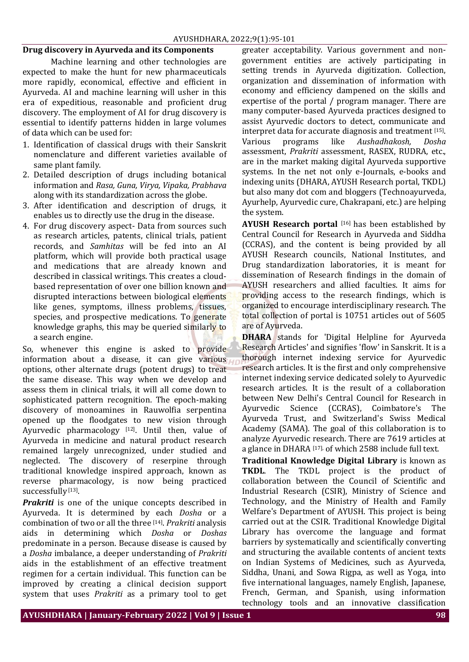#### **Drug discovery in Ayurveda and its Components**

Machine learning and other technologies are expected to make the hunt for new pharmaceuticals more rapidly, economical, effective and efficient in Ayurveda. AI and machine learning will usher in this era of expeditious, reasonable and proficient drug discovery. The employment of AI for drug discovery is essential to identify patterns hidden in large volumes of data which can be used for:

- 1. Identification of classical drugs with their Sanskrit nomenclature and different varieties available of same plant family.
- 2. Detailed description of drugs including botanical information and *Rasa, Guna, Virya, Vipaka, Prabhava* along with its standardization across the globe.
- 3. After identification and description of drugs, it enables us to directly use the drug in the disease.
- 4. For drug discovery aspect- Data from sources such as research articles, patents, clinical trials, patient records, and *Samhitas* will be fed into an AI platform, which will provide both practical usage and medications that are already known and described in classical writings. This creates a cloudbased representation of over one billion known and disrupted interactions between biological elements like genes, symptoms, illness problems, tissues, species, and prospective medications. To generate knowledge graphs, this may be queried similarly to a search engine.

So, whenever this engine is asked to provide information about a disease, it can give various options, other alternate drugs (potent drugs) to treat the same disease. This way when we develop and assess them in clinical trials, it will all come down to sophisticated pattern recognition. The epoch-making discovery of monoamines in Rauwolfia serpentina opened up the floodgates to new vision through Ayurvedic pharmacology  $[12]$ . Until then, value of Ayurveda in medicine and natural product research remained largely unrecognized, under studied and neglected. The discovery of reserpine through traditional knowledge inspired approach, known as reverse pharmacology, is now being practiced successfully<sup>[13]</sup>.

*Prakriti* is one of the unique concepts described in Ayurveda. It is determined by each *Dosha* or a combination of two or all the three [14] . *Prakriti* analysis aids in determining which *Dosha* or *Doshas* predominate in a person. Because disease is caused by a *Dosha* imbalance, a deeper understanding of *Prakriti* aids in the establishment of an effective treatment regimen for a certain individual. This function can be improved by creating a clinical decision support system that uses *Prakriti* as a primary tool to get

greater acceptability. Various government and nongovernment entities are actively participating in setting trends in Ayurveda digitization. Collection, organization and dissemination of information with economy and efficiency dampened on the skills and expertise of the portal / program manager. There are many computer-based Ayurveda practices designed to assist Ayurvedic doctors to detect, communicate and interpret data for accurate diagnosis and treatment [15]. Various programs like *Aushadhakosh, Dosha* assessment, *Prakriti* assessment, RASEX, RUDRA, etc., are in the market making digital Ayurveda supportive systems. In the net not only e-Journals, e-books and indexing units (DHARA, AYUSH Research portal, TKDL) but also many dot com and bloggers (Technoayurveda, Ayurhelp, Ayurvedic cure, Chakrapani, etc.) are helping the system.

**AYUSH Research portal** [16] has been established by Central Council for Research in Ayurveda and Siddha (CCRAS), and the content is being provided by all AYUSH Research councils, National Institutes, and Drug standardization laboratories, it is meant for dissemination of Research findings in the domain of AYUSH researchers and allied faculties. It aims for providing access to the research findings, which is organized to encourage interdisciplinary research. The total collection of portal is 10751 articles out of 5605 are of Ayurveda.

**DHARA** stands for 'Digital Helpline for Ayurveda Research Articles' and signifies 'flow' in Sanskrit. It is a thorough internet indexing service for Ayurvedic research articles. It is the first and only comprehensive internet indexing service dedicated solely to Ayurvedic research articles. It is the result of a collaboration between New Delhi's Central Council for Research in Ayurvedic Science (CCRAS), Coimbatore's The Ayurveda Trust, and Switzerland's Swiss Medical Academy (SAMA). The goal of this collaboration is to analyze Ayurvedic research. There are 7619 articles at a glance in DHARA [17], of which 2588 include full text.

**Traditional Knowledge Digital Library** is known as **TKDL**. The TKDL project is the product of collaboration between the Council of Scientific and Industrial Research (CSIR), Ministry of Science and Technology, and the Ministry of Health and Family Welfare's Department of AYUSH. This project is being carried out at the CSIR. Traditional Knowledge Digital Library has overcome the language and format barriers by systematically and scientifically converting and structuring the available contents of ancient texts on Indian Systems of Medicines, such as Ayurveda, Siddha, Unani, and Sowa Rigpa, as well as Yoga, into five international languages, namely English, Japanese, French, German, and Spanish, using information technology tools and an innovative classification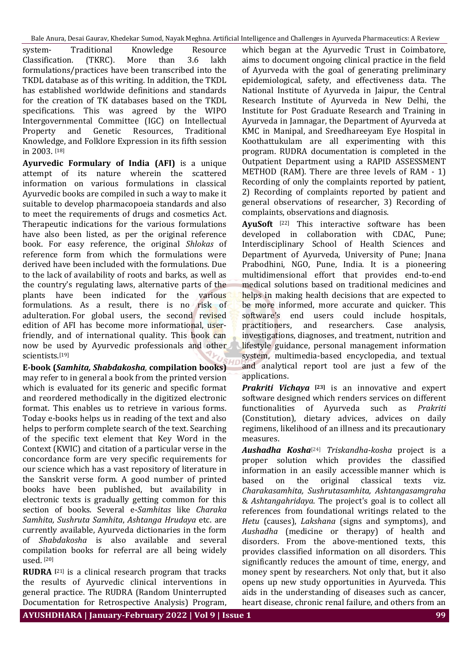Bale Anura, Desai Gaurav, Khedekar Sumod, Nayak Meghna. Artificial Intelligence and Challenges in Ayurveda Pharmaceutics: A Review

system- Traditional Knowledge Resource Classification. (TKRC). More than 3.6 lakh formulations/practices have been transcribed into the TKDL database as of this writing. In addition, the TKDL has established worldwide definitions and standards for the creation of TK databases based on the TKDL specifications. This was agreed by the WIPO Intergovernmental Committee (IGC) on Intellectual Property and Genetic Resources, Traditional Knowledge, and Folklore Expression in its fifth session in 2003. [18]

**Ayurvedic Formulary of India (AFI)** is a unique attempt of its nature wherein the scattered information on various formulations in classical Ayurvedic books are compiled in such a way to make it suitable to develop pharmacopoeia standards and also to meet the requirements of drugs and cosmetics Act. Therapeutic indications for the various formulations have also been listed, as per the original reference book. For easy reference, the original *Shlokas* of reference form from which the formulations were derived have been included with the formulations. Due to the lack of availability of roots and barks, as well as the country's regulating laws, alternative parts of the plants have been indicated for the various formulations. As a result, there is no risk of adulteration. For global users, the second revised edition of AFI has become more informational, userfriendly, and of international quality. This book can now be used by Ayurvedic professionals and other scientists.[19]

**E-book (***Samhita, Shabdakosha,* **compilation books)** may refer to in general a book from the printed version which is evaluated for its generic and specific format and reordered methodically in the digitized electronic format. This enables us to retrieve in various forms. Today e-books helps us in reading of the text and also helps to perform complete search of the text. Searching of the specific text element that Key Word in the Context (KWIC) and citation of a particular verse in the concordance form are very specific requirements for our science which has a vast repository of literature in the Sanskrit verse form. A good number of printed books have been published, but availability in electronic texts is gradually getting common for this section of books. Several e-*Samhitas* like *Charaka Samhita, Sushruta Samhita*, *Ashtanga Hrudaya* etc. are currently available, Ayurveda dictionaries in the form of *Shabdakosha* is also available and several compilation books for referral are all being widely used. [20]

**RUDRA [**21] is a clinical research program that tracks the results of Ayurvedic clinical interventions in general practice. The RUDRA (Random Uninterrupted Documentation for Retrospective Analysis) Program,

which began at the Ayurvedic Trust in Coimbatore, aims to document ongoing clinical practice in the field of Ayurveda with the goal of generating preliminary epidemiological, safety, and effectiveness data. The National Institute of Ayurveda in Jaipur, the Central Research Institute of Ayurveda in New Delhi, the Institute for Post Graduate Research and Training in Ayurveda in Jamnagar, the Department of Ayurveda at KMC in Manipal, and Sreedhareeyam Eye Hospital in Koothattukulam are all experimenting with this program. RUDRA documentation is completed in the Outpatient Department using a RAPID ASSESSMENT METHOD (RAM). There are three levels of RAM - 1) Recording of only the complaints reported by patient, 2) Recording of complaints reported by patient and general observations of researcher, 3) Recording of complaints, observations and diagnosis.

**AyuSoft** [22] This interactive software has been developed in collaboration with CDAC, Pune; Interdisciplinary School of Health Sciences and Department of Ayurveda, University of Pune; Jnana Prabodhini, NGO, Pune, India. It is a pioneering multidimensional effort that provides end-to-end medical solutions based on traditional medicines and helps in making health decisions that are expected to be more informed, more accurate and quicker. This software's end users could include hospitals, practitioners, and researchers. Case analysis, investigations, diagnoses, and treatment, nutrition and lifestyle guidance, personal management information system, multimedia-based encyclopedia, and textual and analytical report tool are just a few of the applications.

*Prakriti Vichaya* **[23]** is an innovative and expert software designed which renders services on different functionalities of Ayurveda such as *Prakriti* (Constitution), dietary advices, advices on daily regimens, likelihood of an illness and its precautionary measures.

*Aushadha Kosha*[24] *Triskandha-kosha* project is a proper solution which provides the classified information in an easily accessible manner which is based on the original classical texts viz. *Charakasamhita, Sushrutasamhita, Ashtangasamgraha* & *Ashtangahridaya*. The project's goal is to collect all references from foundational writings related to the *Hetu* (causes), *Lakshana* (signs and symptoms), and *Aushadha* (medicine or therapy) of health and disorders. From the above-mentioned texts, this provides classified information on all disorders. This significantly reduces the amount of time, energy, and money spent by researchers. Not only that, but it also opens up new study opportunities in Ayurveda. This aids in the understanding of diseases such as cancer, heart disease, chronic renal failure, and others from an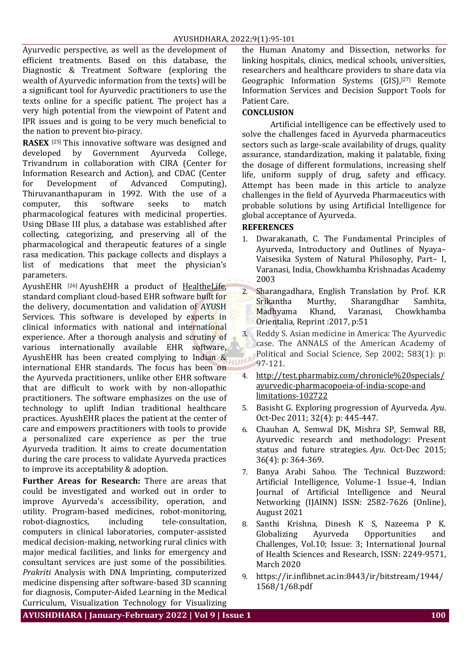Ayurvedic perspective, as well as the development of efficient treatments. Based on this database, the Diagnostic & Treatment Software (exploring the wealth of Ayurvedic information from the texts) will be a significant tool for Ayurvedic practitioners to use the texts online for a specific patient. The project has a very high potential from the viewpoint of Patent and IPR issues and is going to be very much beneficial to the nation to prevent bio-piracy.

**RASEX** [25] This innovative software was designed and developed by Government Ayurveda College, Trivandrum in collaboration with CIRA (Center for Information Research and Action), and CDAC (Center for Development of Advanced Computing), Thiruvananthapuram in 1992. With the use of a computer, this software seeks to match pharmacological features with medicinal properties. Using DBase III plus, a database was established after collecting, categorizing, and preserving all of the pharmacological and therapeutic features of a single rasa medication. This package collects and displays a list of medications that meet the physician's parameters.

AyushEHR [26] AyushEHR a product of [HealtheLife,](https://healthelife.in/) standard compliant cloud-based EHR software built for the delivery, documentation and validation of AYUSH Services. This software is developed by experts in clinical informatics with national and international experience. After a thorough analysis and scrutiny of various internationally available EHR software, AyushEHR has been created complying to Indian & international EHR standards. The focus has been on the Ayurveda practitioners, unlike other EHR software that are difficult to work with by non-allopathic practitioners. The software emphasizes on the use of technology to uplift Indian traditional healthcare practices. AyushEHR places the patient at the center of care and empowers practitioners with tools to provide a personalized care experience as per the true Ayurveda tradition. It aims to create documentation during the care process to validate Ayurveda practices to improve its acceptability & adoption.

**Further Areas for Research:** There are areas that could be investigated and worked out in order to improve Ayurveda's accessibility, operation, and utility. Program-based medicines, robot-monitoring, robot-diagnostics, including tele-consultation, computers in clinical laboratories, computer-assisted medical decision-making, networking rural clinics with major medical facilities, and links for emergency and consultant services are just some of the possibilities. *Prakriti* Analysis with DNA Imprinting, computerized medicine dispensing after software-based 3D scanning for diagnosis, Computer-Aided Learning in the Medical Curriculum, Visualization Technology for Visualizing

the Human Anatomy and Dissection, networks for linking hospitals, clinics, medical schools, universities, researchers and healthcare providers to share data via Geographic Information Systems (GIS),<sup>[27]</sup> Remote Information Services and Decision Support Tools for Patient Care.

# **CONCLUSION**

Artificial intelligence can be effectively used to solve the challenges faced in Ayurveda pharmaceutics sectors such as large-scale availability of drugs, quality assurance, standardization, making it palatable, fixing the dosage of different formulations, increasing shelf life, uniform supply of drug, safety and efficacy. Attempt has been made in this article to analyze challenges in the field of Ayurveda Pharmaceutics with probable solutions by using Artificial Intelligence for global acceptance of Ayurveda.

#### **REFERENCES**

- 1. Dwarakanath, C. The Fundamental Principles of Ayurveda, Introductory and Outlines of Nyaya– Vaisesika System of Natural Philosophy, Part– I, Varanasi, India, Chowkhamba Krishnadas Academy 2003
- 2. Sharangadhara, English Translation by Prof. K.R Srikantha Murthy, Sharangdhar Samhita, Madhyama Khand, Varanasi, Chowkhamba Orientalia, Reprint :2017, p:51
- 3. Reddy S. Asian medicine in America: The Ayurvedic case. The ANNALS of the American Academy of Political and Social Science, Sep 2002; 583(1): p: DHA 97-121.
	- 4. [http://test.pharmabiz.com/chronicle%20specials/](http://test.pharmabiz.com/chronicle%20specials/ayurvedic-pharmacopoeia-of-india-scope-and%20limitations-102722) [ayurvedic-pharmacopoeia-of-india-scope-and](http://test.pharmabiz.com/chronicle%20specials/ayurvedic-pharmacopoeia-of-india-scope-and%20limitations-102722)  [limitations-102722](http://test.pharmabiz.com/chronicle%20specials/ayurvedic-pharmacopoeia-of-india-scope-and%20limitations-102722)
	- 5. Basisht G. Exploring progression of Ayurveda. *Ayu*. Oct-Dec 2011; 32(4): p: 445-447.
	- 6. Chauhan A, Semwal DK, Mishra SP, Semwal RB, Ayurvedic research and methodology: Present status and future strategies. *Ayu*. Oct-Dec 2015; 36(4): p: 364-369.
	- 7. Banya Arabi Sahoo. The Technical Buzzword: Artificial Intelligence, Volume-1 Issue-4, Indian Journal of Artificial Intelligence and Neural Networking (IJAINN) ISSN: 2582-7626 (Online), August 2021
	- 8. Santhi Krishna, Dinesh K S, Nazeema P K. Globalizing Ayurveda Opportunities and Challenges, Vol.10; Issue: 3; International Journal of Health Sciences and Research, ISSN: 2249-9571, March 2020
	- 9. https://ir.inflibnet.ac.in:8443/ir/bitstream/1944/ 1568/1/68.pdf